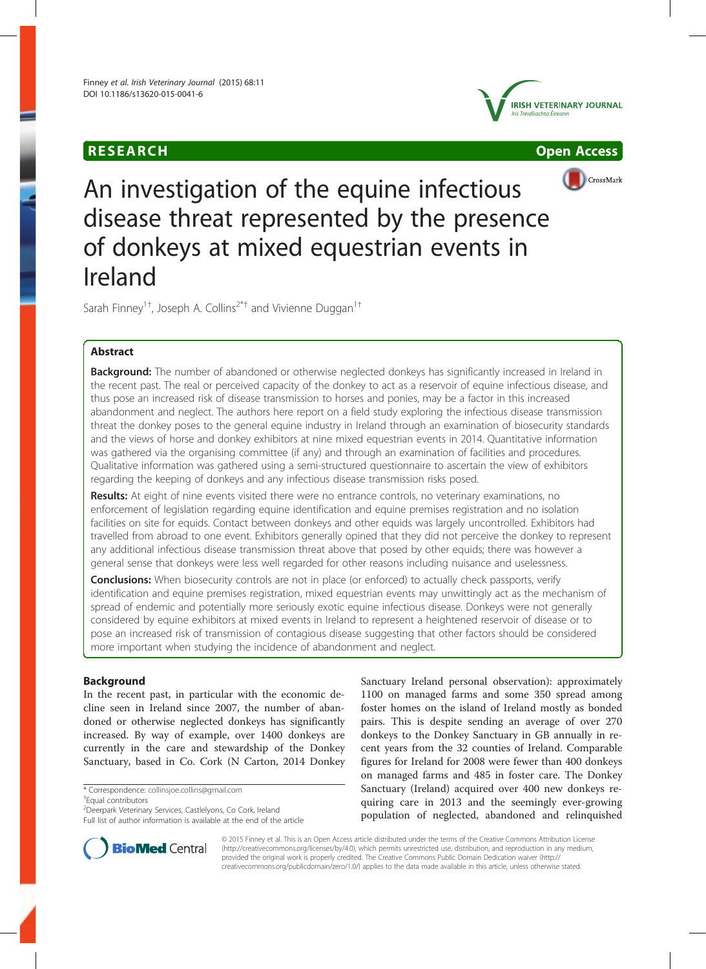# **RESEARCH CHINESE ARCH CHINESE ARCH CHINESE ARCH <b>CHINESE ARCH CHINESE ARCH CHINESE ARCH <b>CHINESE ARCH** CHINESE ARCH **CHINESE ARCH** CHINESE ARCH **CHINESE ARCH 2014**







# An investigation of the equine infectious disease threat represented by the presence of donkeys at mixed equestrian events in Ireland

Sarah Finney<sup>1†</sup>, Joseph A. Collins<sup>2\*†</sup> and Vivienne Duggan<sup>1†</sup>

# Abstract

Background: The number of abandoned or otherwise neglected donkeys has significantly increased in Ireland in the recent past. The real or perceived capacity of the donkey to act as a reservoir of equine infectious disease, and thus pose an increased risk of disease transmission to horses and ponies, may be a factor in this increased abandonment and neglect. The authors here report on a field study exploring the infectious disease transmission threat the donkey poses to the general equine industry in Ireland through an examination of biosecurity standards and the views of horse and donkey exhibitors at nine mixed equestrian events in 2014. Quantitative information was gathered via the organising committee (if any) and through an examination of facilities and procedures. Qualitative information was gathered using a semi-structured questionnaire to ascertain the view of exhibitors regarding the keeping of donkeys and any infectious disease transmission risks posed.

Results: At eight of nine events visited there were no entrance controls, no veterinary examinations, no enforcement of legislation regarding equine identification and equine premises registration and no isolation facilities on site for equids. Contact between donkeys and other equids was largely uncontrolled. Exhibitors had travelled from abroad to one event. Exhibitors generally opined that they did not perceive the donkey to represent any additional infectious disease transmission threat above that posed by other equids; there was however a general sense that donkeys were less well regarded for other reasons including nuisance and uselessness.

**Conclusions:** When biosecurity controls are not in place (or enforced) to actually check passports, verify identification and equine premises registration, mixed equestrian events may unwittingly act as the mechanism of spread of endemic and potentially more seriously exotic equine infectious disease. Donkeys were not generally considered by equine exhibitors at mixed events in Ireland to represent a heightened reservoir of disease or to pose an increased risk of transmission of contagious disease suggesting that other factors should be considered more important when studying the incidence of abandonment and neglect.

# Background

In the recent past, in particular with the economic decline seen in Ireland since 2007, the number of abandoned or otherwise neglected donkeys has significantly increased. By way of example, over 1400 donkeys are currently in the care and stewardship of the Donkey Sanctuary, based in Co. Cork (N Carton, 2014 Donkey

<sup>+</sup>Faual contributors

<sup>2</sup> Deerpark Veterinary Services, Castlelyons, Co Cork, Ireland

Sanctuary Ireland personal observation): approximately 1100 on managed farms and some 350 spread among foster homes on the island of Ireland mostly as bonded pairs. This is despite sending an average of over 270 donkeys to the Donkey Sanctuary in GB annually in recent years from the 32 counties of Ireland. Comparable figures for Ireland for 2008 were fewer than 400 donkeys on managed farms and 485 in foster care. The Donkey Sanctuary (Ireland) acquired over 400 new donkeys requiring care in 2013 and the seemingly ever-growing population of neglected, abandoned and relinquished



© 2015 Finney et al. This is an Open Access article distributed under the terms of the Creative Commons Attribution License (http://creativecommons.org/licenses/by/4.0), which permits unrestricted use, distribution, and reproduction in any medium, provided the original work is properly credited. The Creative Commons Public Domain Dedication waiver (http:// creativecommons.org/publicdomain/zero/1.0/) applies to the data made available in this article, unless otherwise stated.

<sup>\*</sup> Correspondence: collinsjoe.collins@gmail.com †

Full list of author information is available at the end of the article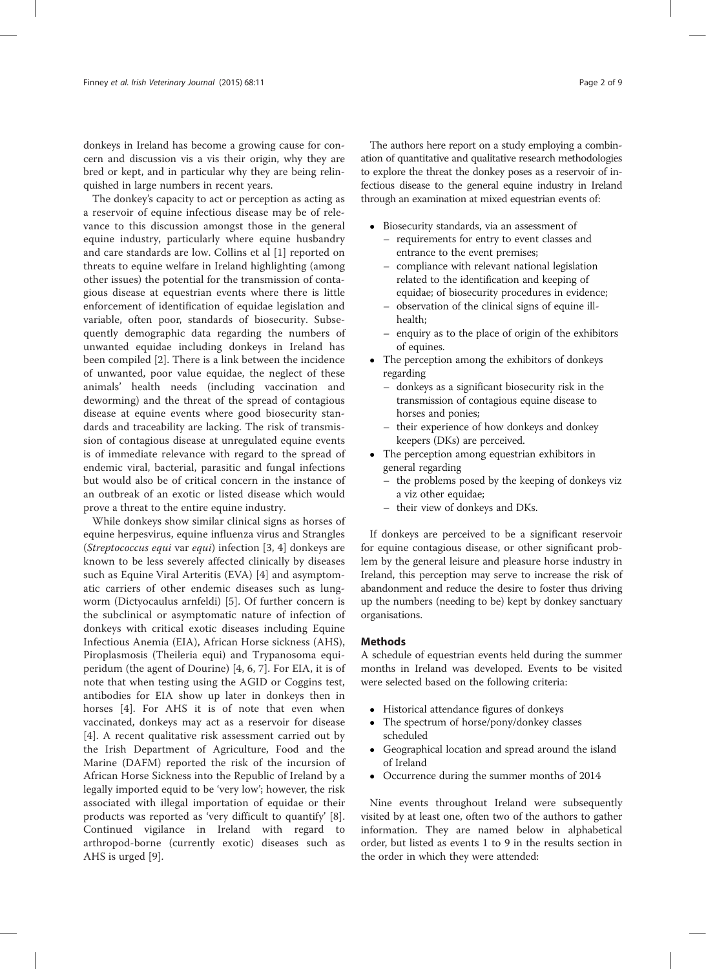donkeys in Ireland has become a growing cause for concern and discussion vis a vis their origin, why they are bred or kept, and in particular why they are being relinquished in large numbers in recent years.

The donkey's capacity to act or perception as acting as a reservoir of equine infectious disease may be of relevance to this discussion amongst those in the general equine industry, particularly where equine husbandry and care standards are low. Collins et al [1] reported on threats to equine welfare in Ireland highlighting (among other issues) the potential for the transmission of contagious disease at equestrian events where there is little enforcement of identification of equidae legislation and variable, often poor, standards of biosecurity. Subsequently demographic data regarding the numbers of unwanted equidae including donkeys in Ireland has been compiled [2]. There is a link between the incidence of unwanted, poor value equidae, the neglect of these animals' health needs (including vaccination and deworming) and the threat of the spread of contagious disease at equine events where good biosecurity standards and traceability are lacking. The risk of transmission of contagious disease at unregulated equine events is of immediate relevance with regard to the spread of endemic viral, bacterial, parasitic and fungal infections but would also be of critical concern in the instance of an outbreak of an exotic or listed disease which would prove a threat to the entire equine industry.

While donkeys show similar clinical signs as horses of equine herpesvirus, equine influenza virus and Strangles (Streptococcus equi var equi) infection [3, 4] donkeys are known to be less severely affected clinically by diseases such as Equine Viral Arteritis (EVA) [4] and asymptomatic carriers of other endemic diseases such as lungworm (Dictyocaulus arnfeldi) [5]. Of further concern is the subclinical or asymptomatic nature of infection of donkeys with critical exotic diseases including Equine Infectious Anemia (EIA), African Horse sickness (AHS), Piroplasmosis (Theileria equi) and Trypanosoma equiperidum (the agent of Dourine) [4, 6, 7]. For EIA, it is of note that when testing using the AGID or Coggins test, antibodies for EIA show up later in donkeys then in horses [4]. For AHS it is of note that even when vaccinated, donkeys may act as a reservoir for disease [4]. A recent qualitative risk assessment carried out by the Irish Department of Agriculture, Food and the Marine (DAFM) reported the risk of the incursion of African Horse Sickness into the Republic of Ireland by a legally imported equid to be 'very low'; however, the risk associated with illegal importation of equidae or their products was reported as 'very difficult to quantify' [8]. Continued vigilance in Ireland with regard to arthropod-borne (currently exotic) diseases such as AHS is urged [9].

The authors here report on a study employing a combination of quantitative and qualitative research methodologies to explore the threat the donkey poses as a reservoir of infectious disease to the general equine industry in Ireland through an examination at mixed equestrian events of:

- Biosecurity standards, via an assessment of
	- requirements for entry to event classes and entrance to the event premises;
	- compliance with relevant national legislation related to the identification and keeping of equidae; of biosecurity procedures in evidence;
	- observation of the clinical signs of equine illhealth;
	- enquiry as to the place of origin of the exhibitors of equines.
- The perception among the exhibitors of donkeys regarding
	- donkeys as a significant biosecurity risk in the transmission of contagious equine disease to horses and ponies;
	- their experience of how donkeys and donkey keepers (DKs) are perceived.
- The perception among equestrian exhibitors in general regarding
	- the problems posed by the keeping of donkeys viz a viz other equidae;
	- their view of donkeys and DKs.

If donkeys are perceived to be a significant reservoir for equine contagious disease, or other significant problem by the general leisure and pleasure horse industry in Ireland, this perception may serve to increase the risk of abandonment and reduce the desire to foster thus driving up the numbers (needing to be) kept by donkey sanctuary organisations.

#### **Methods**

A schedule of equestrian events held during the summer months in Ireland was developed. Events to be visited were selected based on the following criteria:

- Historical attendance figures of donkeys
- The spectrum of horse/pony/donkey classes scheduled
- Geographical location and spread around the island of Ireland
- Occurrence during the summer months of 2014

Nine events throughout Ireland were subsequently visited by at least one, often two of the authors to gather information. They are named below in alphabetical order, but listed as events 1 to 9 in the results section in the order in which they were attended: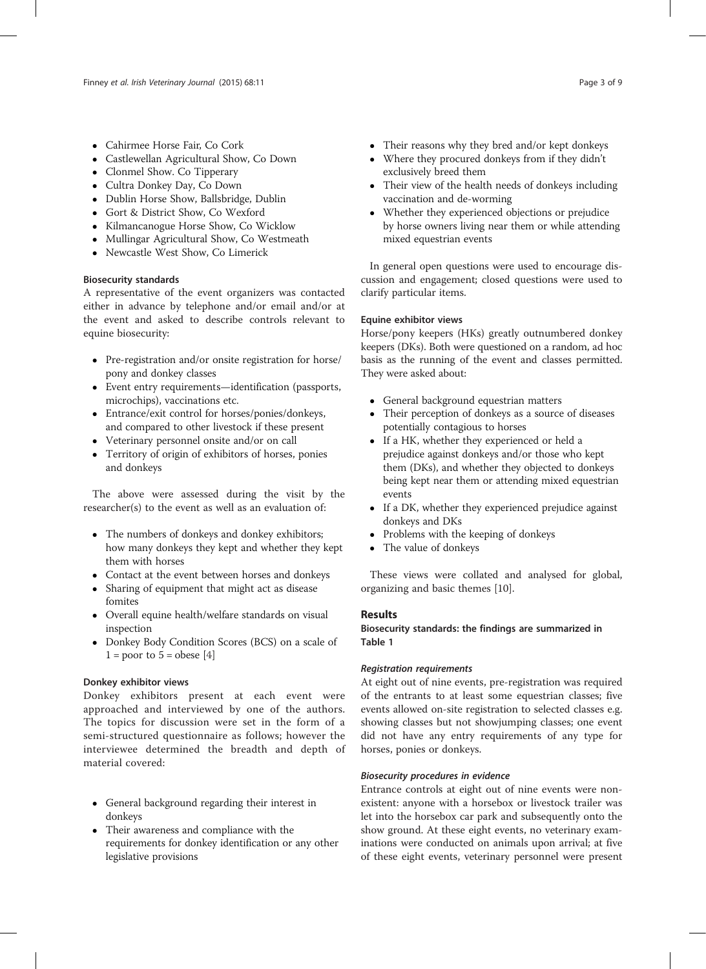- Cahirmee Horse Fair, Co Cork
- Castlewellan Agricultural Show, Co Down
- Clonmel Show. Co Tipperary
- Cultra Donkey Day, Co Down
- Dublin Horse Show, Ballsbridge, Dublin
- Gort & District Show, Co Wexford
- Kilmancanogue Horse Show, Co Wicklow
- Mullingar Agricultural Show, Co Westmeath
- Newcastle West Show, Co Limerick

# Biosecurity standards

A representative of the event organizers was contacted either in advance by telephone and/or email and/or at the event and asked to describe controls relevant to equine biosecurity:

- Pre-registration and/or onsite registration for horse/ pony and donkey classes
- Event entry requirements—identification (passports, microchips), vaccinations etc.
- Entrance/exit control for horses/ponies/donkeys, and compared to other livestock if these present
- Veterinary personnel onsite and/or on call
- Territory of origin of exhibitors of horses, ponies and donkeys

The above were assessed during the visit by the researcher(s) to the event as well as an evaluation of:

- The numbers of donkeys and donkey exhibitors; how many donkeys they kept and whether they kept them with horses
- Contact at the event between horses and donkeys
- Sharing of equipment that might act as disease fomites
- Overall equine health/welfare standards on visual inspection
- Donkey Body Condition Scores (BCS) on a scale of  $1 =$  poor to  $5 =$  obese [4]

# Donkey exhibitor views

Donkey exhibitors present at each event were approached and interviewed by one of the authors. The topics for discussion were set in the form of a semi-structured questionnaire as follows; however the interviewee determined the breadth and depth of material covered:

- General background regarding their interest in donkeys
- Their awareness and compliance with the requirements for donkey identification or any other legislative provisions
- Their reasons why they bred and/or kept donkeys
- Where they procured donkeys from if they didn't exclusively breed them
- Their view of the health needs of donkeys including vaccination and de-worming
- Whether they experienced objections or prejudice by horse owners living near them or while attending mixed equestrian events

In general open questions were used to encourage discussion and engagement; closed questions were used to clarify particular items.

# Equine exhibitor views

Horse/pony keepers (HKs) greatly outnumbered donkey keepers (DKs). Both were questioned on a random, ad hoc basis as the running of the event and classes permitted. They were asked about:

- General background equestrian matters<br>• Their perception of donkevs as a source
- Their perception of donkeys as a source of diseases potentially contagious to horses
- If a HK, whether they experienced or held a prejudice against donkeys and/or those who kept them (DKs), and whether they objected to donkeys being kept near them or attending mixed equestrian events
- If a DK, whether they experienced prejudice against donkeys and DKs
- Problems with the keeping of donkeys
- The value of donkeys

These views were collated and analysed for global, organizing and basic themes [10].

# Results

Biosecurity standards: the findings are summarized in Table 1

# Registration requirements

At eight out of nine events, pre-registration was required of the entrants to at least some equestrian classes; five events allowed on-site registration to selected classes e.g. showing classes but not showjumping classes; one event did not have any entry requirements of any type for horses, ponies or donkeys.

# Biosecurity procedures in evidence

Entrance controls at eight out of nine events were nonexistent: anyone with a horsebox or livestock trailer was let into the horsebox car park and subsequently onto the show ground. At these eight events, no veterinary examinations were conducted on animals upon arrival; at five of these eight events, veterinary personnel were present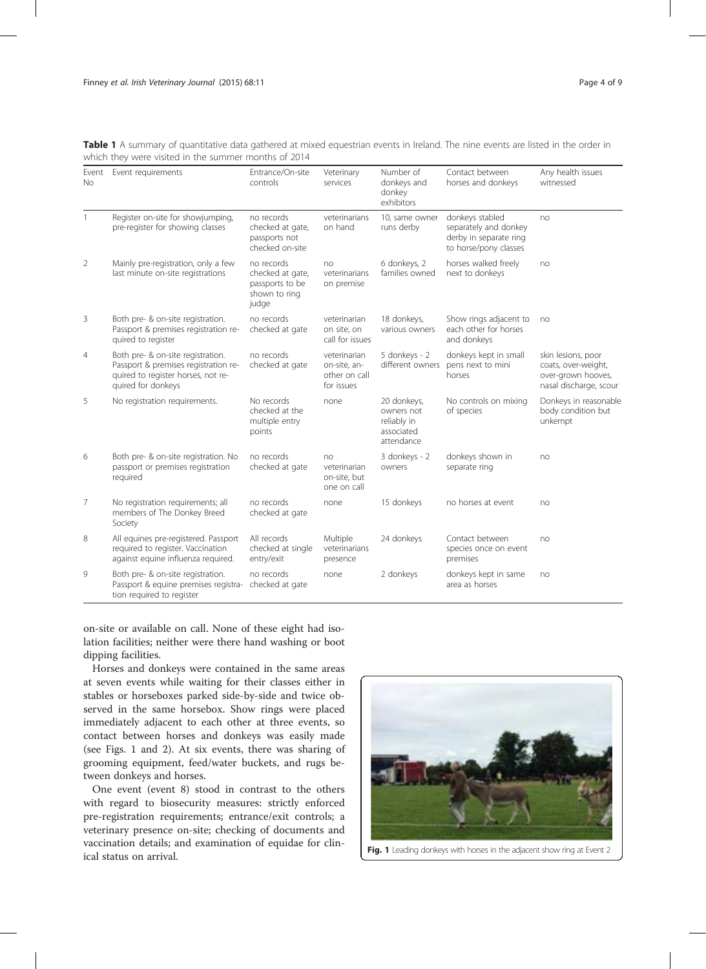| Event<br>No    | Event requirements                                                                                                                    | Entrance/On-site<br>controls                                                | Veterinary<br>services                                      | Number of<br>donkeys and<br>donkey<br>exhibitors                     | Contact between<br>horses and donkeys                                                       | Any health issues<br>witnessed                                                            |
|----------------|---------------------------------------------------------------------------------------------------------------------------------------|-----------------------------------------------------------------------------|-------------------------------------------------------------|----------------------------------------------------------------------|---------------------------------------------------------------------------------------------|-------------------------------------------------------------------------------------------|
|                | Register on-site for showjumping,<br>pre-register for showing classes                                                                 | no records<br>checked at gate,<br>passports not<br>checked on-site          | veterinarians<br>on hand                                    | 10, same owner<br>runs derby                                         | donkeys stabled<br>separately and donkey<br>derby in separate ring<br>to horse/pony classes | no                                                                                        |
| 2              | Mainly pre-registration, only a few<br>last minute on-site registrations                                                              | no records<br>checked at gate,<br>passports to be<br>shown to ring<br>judge | no<br>veterinarians<br>on premise                           | 6 donkeys, 2<br>families owned                                       | horses walked freely<br>next to donkeys                                                     | no                                                                                        |
| 3              | Both pre- & on-site registration.<br>Passport & premises registration re-<br>quired to register                                       | no records<br>checked at gate                                               | veterinarian<br>on site, on<br>call for issues              | 18 donkeys,<br>various owners                                        | Show rings adjacent to<br>each other for horses<br>and donkeys                              | no                                                                                        |
| $\overline{4}$ | Both pre- & on-site registration.<br>Passport & premises registration re-<br>quired to register horses, not re-<br>quired for donkeys | no records<br>checked at gate                                               | veterinarian<br>on-site, an-<br>other on call<br>for issues | 5 donkeys - 2<br>different owners                                    | donkeys kept in small<br>pens next to mini<br>horses                                        | skin lesions, poor<br>coats, over-weight,<br>over-grown hooves,<br>nasal discharge, scour |
| 5              | No registration requirements.                                                                                                         | No records<br>checked at the<br>multiple entry<br>points                    | none                                                        | 20 donkeys,<br>owners not<br>reliably in<br>associated<br>attendance | No controls on mixing<br>of species                                                         | Donkeys in reasonable<br>body condition but<br>unkempt                                    |
| 6              | Both pre- & on-site registration. No<br>passport or premises registration<br>required                                                 | no records<br>checked at gate                                               | no<br>veterinarian<br>on-site, but<br>one on call           | 3 donkeys - 2<br>owners                                              | donkeys shown in<br>separate ring                                                           | no                                                                                        |
| $\overline{7}$ | No registration requirements; all<br>members of The Donkey Breed<br>Society                                                           | no records<br>checked at gate                                               | none                                                        | 15 donkeys                                                           | no horses at event                                                                          | no                                                                                        |
| 8              | All equines pre-registered. Passport<br>required to register. Vaccination<br>against equine influenza required.                       | All records<br>checked at single<br>entry/exit                              | Multiple<br>veterinarians<br>presence                       | 24 donkeys                                                           | Contact between<br>species once on event<br>premises                                        | no                                                                                        |
| 9              | Both pre- & on-site registration.<br>Passport & equine premises registra-<br>tion required to register                                | no records<br>checked at gate                                               | none                                                        | 2 donkeys                                                            | donkeys kept in same<br>area as horses                                                      | no                                                                                        |

Table 1 A summary of quantitative data gathered at mixed equestrian events in Ireland. The nine events are listed in the order in which they were visited in the summer months of 2014

on-site or available on call. None of these eight had isolation facilities; neither were there hand washing or boot dipping facilities.

Horses and donkeys were contained in the same areas at seven events while waiting for their classes either in stables or horseboxes parked side-by-side and twice observed in the same horsebox. Show rings were placed immediately adjacent to each other at three events, so contact between horses and donkeys was easily made (see Figs. 1 and 2). At six events, there was sharing of grooming equipment, feed/water buckets, and rugs between donkeys and horses.

One event (event 8) stood in contrast to the others with regard to biosecurity measures: strictly enforced pre-registration requirements; entrance/exit controls; a veterinary presence on-site; checking of documents and vaccination details; and examination of equidae for clinical status on arrival.



Fig. 1 Leading donkeys with horses in the adjacent show ring at Event 2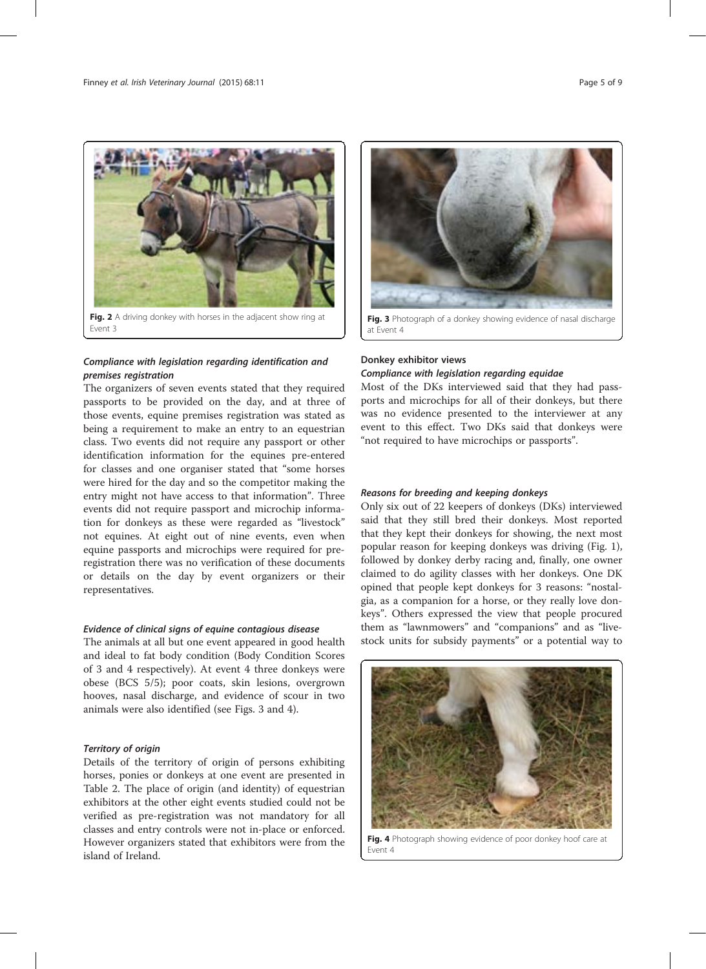

Event 3

# Compliance with legislation regarding identification and premises registration

The organizers of seven events stated that they required passports to be provided on the day, and at three of those events, equine premises registration was stated as being a requirement to make an entry to an equestrian class. Two events did not require any passport or other identification information for the equines pre-entered for classes and one organiser stated that "some horses were hired for the day and so the competitor making the entry might not have access to that information". Three events did not require passport and microchip information for donkeys as these were regarded as "livestock" not equines. At eight out of nine events, even when equine passports and microchips were required for preregistration there was no verification of these documents or details on the day by event organizers or their representatives.

#### Evidence of clinical signs of equine contagious disease

The animals at all but one event appeared in good health and ideal to fat body condition (Body Condition Scores of 3 and 4 respectively). At event 4 three donkeys were obese (BCS 5/5); poor coats, skin lesions, overgrown hooves, nasal discharge, and evidence of scour in two animals were also identified (see Figs. 3 and 4).

### Territory of origin

Details of the territory of origin of persons exhibiting horses, ponies or donkeys at one event are presented in Table 2. The place of origin (and identity) of equestrian exhibitors at the other eight events studied could not be verified as pre-registration was not mandatory for all classes and entry controls were not in-place or enforced. However organizers stated that exhibitors were from the island of Ireland.



Fig. 3 Photograph of a donkey showing evidence of nasal discharge at Event 4

# Donkey exhibitor views

# Compliance with legislation regarding equidae

Most of the DKs interviewed said that they had passports and microchips for all of their donkeys, but there was no evidence presented to the interviewer at any event to this effect. Two DKs said that donkeys were "not required to have microchips or passports".

#### Reasons for breeding and keeping donkeys

Only six out of 22 keepers of donkeys (DKs) interviewed said that they still bred their donkeys. Most reported that they kept their donkeys for showing, the next most popular reason for keeping donkeys was driving (Fig. 1), followed by donkey derby racing and, finally, one owner claimed to do agility classes with her donkeys. One DK opined that people kept donkeys for 3 reasons: "nostalgia, as a companion for a horse, or they really love donkeys". Others expressed the view that people procured them as "lawnmowers" and "companions" and as "livestock units for subsidy payments" or a potential way to



Fig. 4 Photograph showing evidence of poor donkey hoof care at Event 4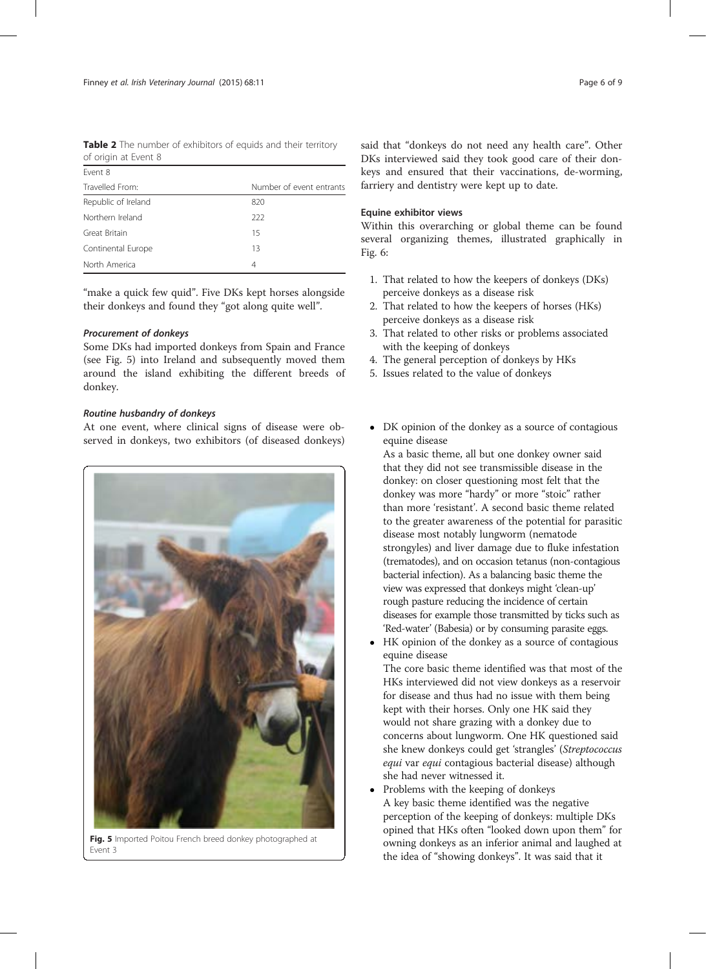Table 2 The number of exhibitors of equids and their territory of origin at Event 8

| Fvent 8             |                          |  |  |  |
|---------------------|--------------------------|--|--|--|
| Travelled From:     | Number of event entrants |  |  |  |
| Republic of Ireland | 820                      |  |  |  |
| Northern Ireland    | 222                      |  |  |  |
| Great Britain       | 15                       |  |  |  |
| Continental Europe  | 13                       |  |  |  |
| North America       | 4                        |  |  |  |

"make a quick few quid". Five DKs kept horses alongside their donkeys and found they "got along quite well".

#### Procurement of donkeys

Some DKs had imported donkeys from Spain and France (see Fig. 5) into Ireland and subsequently moved them around the island exhibiting the different breeds of donkey.

### Routine husbandry of donkeys

At one event, where clinical signs of disease were observed in donkeys, two exhibitors (of diseased donkeys)



Fig. 5 Imported Poitou French breed donkey photographed at Event 3

said that "donkeys do not need any health care". Other DKs interviewed said they took good care of their donkeys and ensured that their vaccinations, de-worming, farriery and dentistry were kept up to date.

#### Equine exhibitor views

Within this overarching or global theme can be found several organizing themes, illustrated graphically in Fig. 6:

- 1. That related to how the keepers of donkeys (DKs) perceive donkeys as a disease risk
- 2. That related to how the keepers of horses (HKs) perceive donkeys as a disease risk
- 3. That related to other risks or problems associated with the keeping of donkeys
- 4. The general perception of donkeys by HKs
- 5. Issues related to the value of donkeys
- DK opinion of the donkey as a source of contagious equine disease

As a basic theme, all but one donkey owner said that they did not see transmissible disease in the donkey: on closer questioning most felt that the donkey was more "hardy" or more "stoic" rather than more 'resistant'. A second basic theme related to the greater awareness of the potential for parasitic disease most notably lungworm (nematode strongyles) and liver damage due to fluke infestation (trematodes), and on occasion tetanus (non-contagious bacterial infection). As a balancing basic theme the view was expressed that donkeys might 'clean-up' rough pasture reducing the incidence of certain diseases for example those transmitted by ticks such as 'Red-water' (Babesia) or by consuming parasite eggs.

 HK opinion of the donkey as a source of contagious equine disease

The core basic theme identified was that most of the HKs interviewed did not view donkeys as a reservoir for disease and thus had no issue with them being kept with their horses. Only one HK said they would not share grazing with a donkey due to concerns about lungworm. One HK questioned said she knew donkeys could get 'strangles' (Streptococcus equi var equi contagious bacterial disease) although she had never witnessed it.

 Problems with the keeping of donkeys A key basic theme identified was the negative perception of the keeping of donkeys: multiple DKs opined that HKs often "looked down upon them" for owning donkeys as an inferior animal and laughed at the idea of "showing donkeys". It was said that it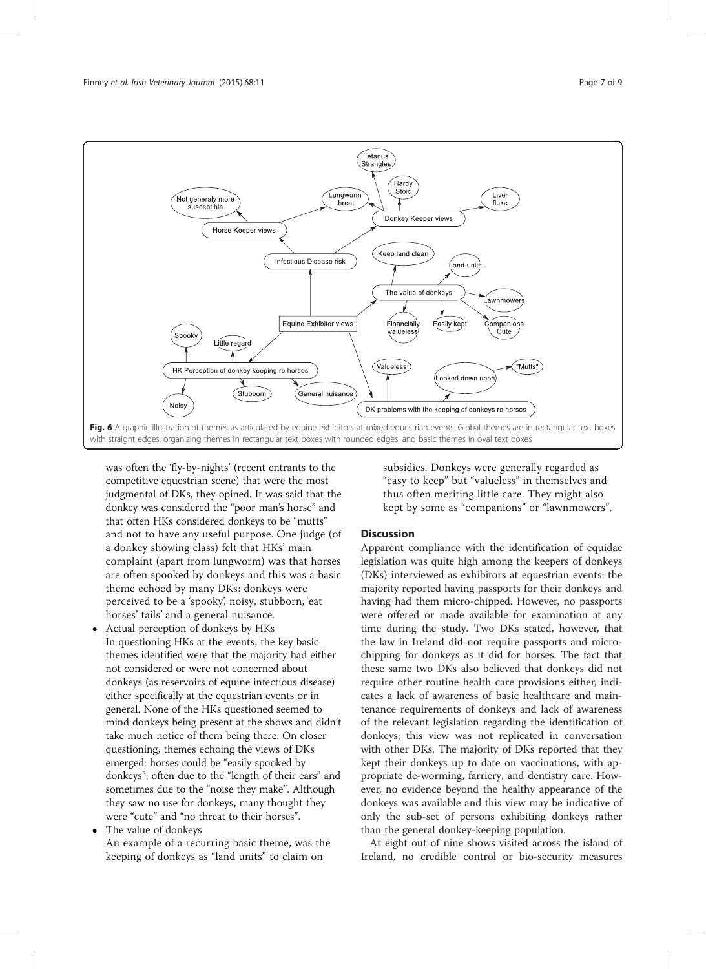

Fig. 6 A graphic illustration of themes as articulated by equine exhibitors at mixed equestrian events. Global themes are in rectangular text boxes with straight edges, organizing themes in rectangular text boxes with rounded edges, and basic themes in oval text boxes

was often the 'fly-by-nights' (recent entrants to the competitive equestrian scene) that were the most judgmental of DKs, they opined. It was said that the donkey was considered the "poor man's horse" and that often HKs considered donkeys to be "mutts" and not to have any useful purpose. One judge (of a donkey showing class) felt that HKs' main complaint (apart from lungworm) was that horses are often spooked by donkeys and this was a basic theme echoed by many DKs: donkeys were perceived to be a 'spooky', noisy, stubborn, 'eat horses' tails' and a general nuisance.

 Actual perception of donkeys by HKs In questioning HKs at the events, the key basic themes identified were that the majority had either not considered or were not concerned about donkeys (as reservoirs of equine infectious disease) either specifically at the equestrian events or in general. None of the HKs questioned seemed to mind donkeys being present at the shows and didn't take much notice of them being there. On closer questioning, themes echoing the views of DKs emerged: horses could be "easily spooked by donkeys"; often due to the "length of their ears" and sometimes due to the "noise they make". Although they saw no use for donkeys, many thought they were "cute" and "no threat to their horses".

 The value of donkeys An example of a recurring basic theme, was the keeping of donkeys as "land units" to claim on

subsidies. Donkeys were generally regarded as "easy to keep" but "valueless" in themselves and thus often meriting little care. They might also kept by some as "companions" or "lawnmowers".

# **Discussion**

Apparent compliance with the identification of equidae legislation was quite high among the keepers of donkeys (DKs) interviewed as exhibitors at equestrian events: the majority reported having passports for their donkeys and having had them micro-chipped. However, no passports were offered or made available for examination at any time during the study. Two DKs stated, however, that the law in Ireland did not require passports and microchipping for donkeys as it did for horses. The fact that these same two DKs also believed that donkeys did not require other routine health care provisions either, indicates a lack of awareness of basic healthcare and maintenance requirements of donkeys and lack of awareness of the relevant legislation regarding the identification of donkeys; this view was not replicated in conversation with other DKs. The majority of DKs reported that they kept their donkeys up to date on vaccinations, with appropriate de-worming, farriery, and dentistry care. However, no evidence beyond the healthy appearance of the donkeys was available and this view may be indicative of only the sub-set of persons exhibiting donkeys rather than the general donkey-keeping population.

At eight out of nine shows visited across the island of Ireland, no credible control or bio-security measures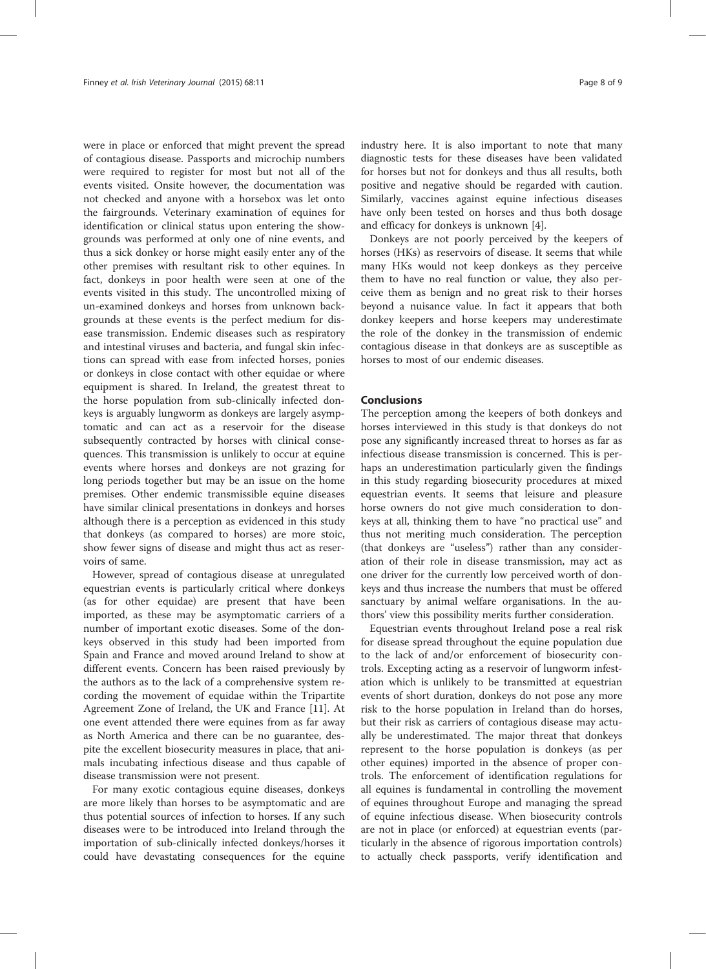were in place or enforced that might prevent the spread of contagious disease. Passports and microchip numbers were required to register for most but not all of the events visited. Onsite however, the documentation was not checked and anyone with a horsebox was let onto the fairgrounds. Veterinary examination of equines for identification or clinical status upon entering the showgrounds was performed at only one of nine events, and thus a sick donkey or horse might easily enter any of the other premises with resultant risk to other equines. In fact, donkeys in poor health were seen at one of the events visited in this study. The uncontrolled mixing of un-examined donkeys and horses from unknown backgrounds at these events is the perfect medium for disease transmission. Endemic diseases such as respiratory and intestinal viruses and bacteria, and fungal skin infections can spread with ease from infected horses, ponies or donkeys in close contact with other equidae or where equipment is shared. In Ireland, the greatest threat to the horse population from sub-clinically infected donkeys is arguably lungworm as donkeys are largely asymptomatic and can act as a reservoir for the disease subsequently contracted by horses with clinical consequences. This transmission is unlikely to occur at equine events where horses and donkeys are not grazing for long periods together but may be an issue on the home premises. Other endemic transmissible equine diseases have similar clinical presentations in donkeys and horses although there is a perception as evidenced in this study that donkeys (as compared to horses) are more stoic, show fewer signs of disease and might thus act as reservoirs of same.

However, spread of contagious disease at unregulated equestrian events is particularly critical where donkeys (as for other equidae) are present that have been imported, as these may be asymptomatic carriers of a number of important exotic diseases. Some of the donkeys observed in this study had been imported from Spain and France and moved around Ireland to show at different events. Concern has been raised previously by the authors as to the lack of a comprehensive system recording the movement of equidae within the Tripartite Agreement Zone of Ireland, the UK and France [11]. At one event attended there were equines from as far away as North America and there can be no guarantee, despite the excellent biosecurity measures in place, that animals incubating infectious disease and thus capable of disease transmission were not present.

For many exotic contagious equine diseases, donkeys are more likely than horses to be asymptomatic and are thus potential sources of infection to horses. If any such diseases were to be introduced into Ireland through the importation of sub-clinically infected donkeys/horses it could have devastating consequences for the equine

industry here. It is also important to note that many diagnostic tests for these diseases have been validated for horses but not for donkeys and thus all results, both positive and negative should be regarded with caution. Similarly, vaccines against equine infectious diseases have only been tested on horses and thus both dosage and efficacy for donkeys is unknown [4].

Donkeys are not poorly perceived by the keepers of horses (HKs) as reservoirs of disease. It seems that while many HKs would not keep donkeys as they perceive them to have no real function or value, they also perceive them as benign and no great risk to their horses beyond a nuisance value. In fact it appears that both donkey keepers and horse keepers may underestimate the role of the donkey in the transmission of endemic contagious disease in that donkeys are as susceptible as horses to most of our endemic diseases.

#### Conclusions

The perception among the keepers of both donkeys and horses interviewed in this study is that donkeys do not pose any significantly increased threat to horses as far as infectious disease transmission is concerned. This is perhaps an underestimation particularly given the findings in this study regarding biosecurity procedures at mixed equestrian events. It seems that leisure and pleasure horse owners do not give much consideration to donkeys at all, thinking them to have "no practical use" and thus not meriting much consideration. The perception (that donkeys are "useless") rather than any consideration of their role in disease transmission, may act as one driver for the currently low perceived worth of donkeys and thus increase the numbers that must be offered sanctuary by animal welfare organisations. In the authors' view this possibility merits further consideration.

Equestrian events throughout Ireland pose a real risk for disease spread throughout the equine population due to the lack of and/or enforcement of biosecurity controls. Excepting acting as a reservoir of lungworm infestation which is unlikely to be transmitted at equestrian events of short duration, donkeys do not pose any more risk to the horse population in Ireland than do horses, but their risk as carriers of contagious disease may actually be underestimated. The major threat that donkeys represent to the horse population is donkeys (as per other equines) imported in the absence of proper controls. The enforcement of identification regulations for all equines is fundamental in controlling the movement of equines throughout Europe and managing the spread of equine infectious disease. When biosecurity controls are not in place (or enforced) at equestrian events (particularly in the absence of rigorous importation controls) to actually check passports, verify identification and